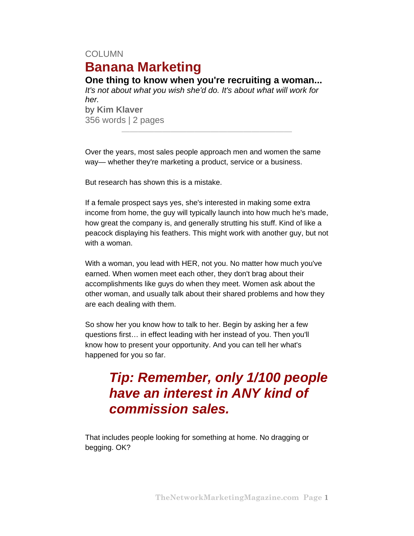## COLUMN

## **Banana Marketing**

**One thing to know when you're recruiting a woman...**  *It's not about what you wish she'd do. It's about what will work for her.*  by **Kim Klaver** 356 words | 2 pages **—————————————————————**

Over the years, most sales people approach men and women the same way— whether they're marketing a product, service or a business.

But research has shown this is a mistake.

If a female prospect says yes, she's interested in making some extra income from home, the guy will typically launch into how much he's made, how great the company is, and generally strutting his stuff. Kind of like a peacock displaying his feathers. This might work with another guy, but not with a woman.

With a woman, you lead with HER, not you. No matter how much you've earned. When women meet each other, they don't brag about their accomplishments like guys do when they meet. Women ask about the other woman, and usually talk about their shared problems and how they are each dealing with them.

So show her you know how to talk to her. Begin by asking her a few questions first… in effect leading with her instead of you. Then you'll know how to present your opportunity. And you can tell her what's happened for you so far.

## *Tip: Remember, only 1/100 people have an interest in ANY kind of commission sales.*

That includes people looking for something at home. No dragging or begging. OK?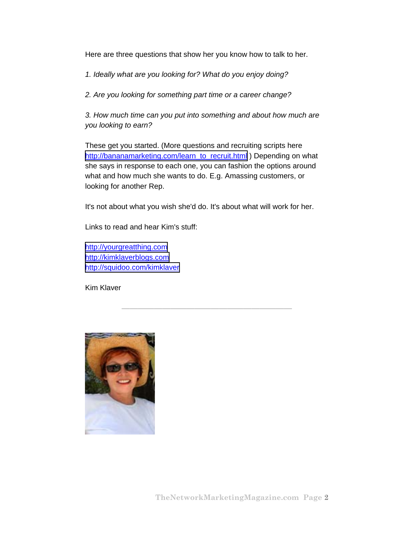Here are three questions that show her you know how to talk to her.

*1. Ideally what are you looking for? What do you enjoy doing?* 

*2. Are you looking for something part time or a career change?* 

*3. How much time can you put into something and about how much are you looking to earn?* 

These get you started. (More questions and recruiting scripts here [http://bananamarketing.com/learn\\_to\\_recruit.html](http://bananamarketing.com/learn_to_recruit.html) ) Depending on what she says in response to each one, you can fashion the options around what and how much she wants to do. E.g. Amassing customers, or looking for another Rep.

It's not about what you wish she'd do. It's about what will work for her.

**—————————————————————**

Links to read and hear Kim's stuff:

[http://yourgreatthing.com](http://yourgreatthing.com/) [http://kimklaverblogs.com](http://kimklaverblogs.com/) <http://squidoo.com/kimklaver>

Kim Klaver